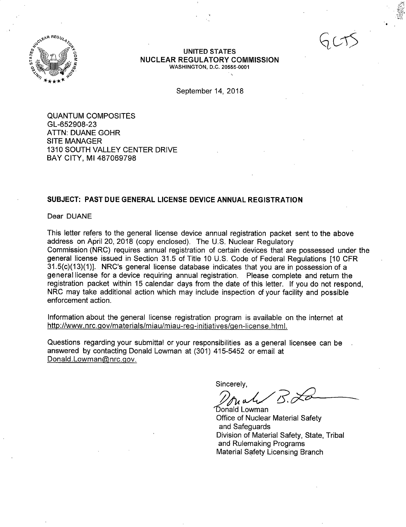

#### **UNITED STATES NUCLEAR REGULATORY COMMISSION**  WASHINGTON, D.C. 20555-0001

September 14, 2018

QUANTUM COMPOSITES GL-652908-23 ATTN: DUANE GOHR SITE MANAGER 1310 SOUTH VALLEY CENTER DRIVE BAY CITY, Ml 487069798

#### **SUBJECT: PAST DUE GENERAL LICENSE DEVICE ANNUAL REGISTRATION**

Dear DUANE

This letter refers to the general license device annual registration packet sent to the above address on April 20, 2018 (copy enclosed). The U.S. Nuclear Regulatory Commission (NRC) requires annual registration of certain devices that are possessed under the general license issued in Section 31.5 of Title 10 U.S. Code of Federal Regulations [10 CFR 31.5(c)(13)(1)]. NRC's general license database indicates that you are in possession of a general license for a device requiring annual registration. Please complete and return the registration packet within 15 calendar days from the date of this letter. If you do not respond, NRC may take additional action which may include inspection of your facility and possible enforcement action.

Information about the general license registration program is available on the internet at http://www.nrc.gov/materials/miau/miau-reg-initiatives/gen-license.html.

Questions regarding your submittal or your responsibilities as a general licensee can be answered by contacting Donald Lowman at (301) 415-5452 or email at Donald.Lowman@nrc.gov.

Sincerely,

// fu all

Office of Nuclear Material Safety and Safeguards Division of Material Safety, State, Tribal and Rulemaking Programs Material Safety Licensing Branch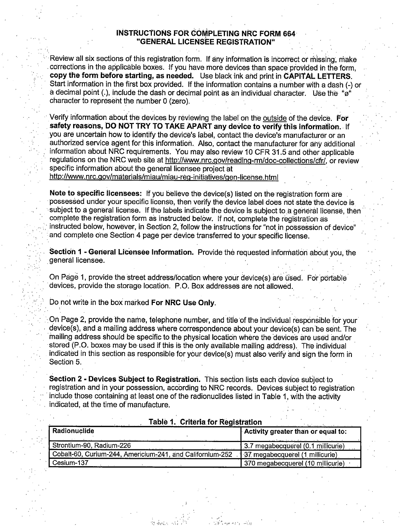#### **INSTRUCTIONS FOR COMPLETING NRC FORM 664 "GENERAL LICENSEE REGISTRATION''**

Review all six sections of this registration form. If any information is incorrect or missing, make . corrections in the applicable boxes. If you have more devices than space provided in the form, **copy the form before starting, as needed.** Use black ink and print in **CAPITAL LETTERS.**  Start information in the first box provided. If the information contains a number with a dash(-) or a decimal point (.), include the dash or decimal point as an individual character. Use the "ø" character to represent the number 0 (zero).

· Verify information about the devices by reviewing the label on the outside of the device. **For** safety reasons, DO NOT TRY TO TAKE APART any device to verify this information. If you are uncertain how to identify the device's label, contact the device's manufacturer or an authorized service agent for this information. Also, contact the manufacturer for ahy additional information about NRC requirements. You may also review 10 CFR 31.5 and other applicable regulations on the NRC web site at http://www.nrc.gov/reading-rm/doc-collections/cfr/, or review specific information about the general licensee project at http://www.nrc.gov/materials/miau/miau-reg-initiatives/gen-license.html

**Note to specific licensees:** If you believe the device(s) listed on the registration form are possessed under your specific license, then verify the device label does not state the device is subject to a general license. If the labels indicate the device is subject to a general license, then complete the registration form as instructed below. If not, complete the registration as instructed below, however, in Section 2, follow the instructions for "not in possession of device" . and complete one Section 4 page per device transferred to your specific license.

**Section 1 - General Licensee Information.** Provide the requested information about you, the . general licensee.

On Page 1, provide the street address/location where your device(s) are used. For portable devices, provide the storage location. P.O. Box addresses are not allowed.

bo not write in the box marked **For NRC Use Only.** 

:-

On Page 2, provide the name, telephone number, and title of the individual responsible for your device(s), and a mailing address where correspondence about your device(s) can 'be sent. The mailing address should be specific to the physical location where the devices are used and/or stored (P.O. boxes may be used if this is the only available mailing address). The individual indicated in this section as responsible for your device(s) must also verify and sign the form in Section 5.

**Section 2 - Devices Subject to Registration.** This section lists each device subject to registration and in your possession, according to NRC records. Devices subject to registration include those containing at least one of the radionuclides listed in Table 1, with the activity indicated, at the time of manufacture.

| Radionuclide                                              | Activity greater than or equal to: |
|-----------------------------------------------------------|------------------------------------|
| Strontium-90, Radium-226                                  | 3.7 megabecquerel (0.1 millicurie) |
| Cobalt-60, Curium-244, Americium-241, and Californium-252 | 137 megabecquerel (1 millicurie)   |
| Cesium-137                                                | 370 megabecquerel (10 millicurie)  |

. i

·' ' • '. !  $r$ ,  $\tilde{r}$  ,  $\tilde{r}$  ,  $\tilde{r}$ 

th Ander

#### **Table 1. Criteria for Registration**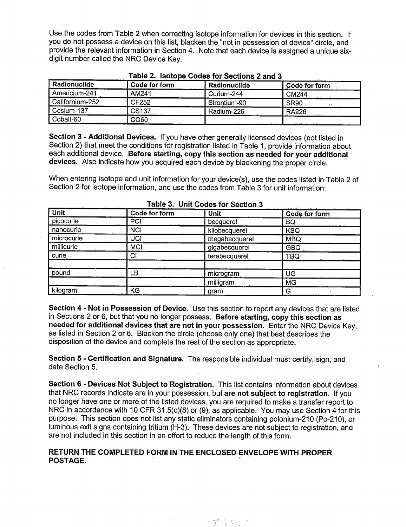Use the codes from Table 2 when correcting isotope information for devices in this section. If you do not possess a device on this list, blacken the "not in possession of device" circle, and provide the relevant information in Section 4. Note that each device is assigned a unique sixdigit number called the NRC Device Key.

| Radionuclide    | Code for form | Radionuclide | Code for form |
|-----------------|---------------|--------------|---------------|
| Americium-241   | AM241         | Curium-244   | CM244         |
| Californium-252 | CF252         | Strontium-90 | <b>SR90</b>   |
| Cesium-137      | <b>CS137</b>  | Radium-226   | <b>RA226</b>  |
| Cobalt-60       | CO60          |              |               |

|  | Table 2. Isotope Codes for Sections 2 and 3 |  |
|--|---------------------------------------------|--|
|  |                                             |  |

**Section 3 -Additional Devices.** If you have other generally licensed devices (not listed in Section 2) that meet the conditions for registration listed in Table 1, provide information about each additional device. **Before starting, copy this section as needed for your additional devices.** Also indicate how you acquired each device by blackening the proper circle.

When entering isotope and unit information for your device(s), use the codes listed in Table 2 of Section 2 for isotope information, and use the codes from Table 3 for unit information:

| Unit             | Code for form  | <b>Unit</b>   | $\overline{Code}$ for form                                       |
|------------------|----------------|---------------|------------------------------------------------------------------|
| picocurie        | PCI            | becauerel     | BQ                                                               |
| nanocurie        | <b>NCI</b>     | kilobecquerel | <b>KBQ</b>                                                       |
| microcurie       | <b>UCI</b>     | megabecquerel | <b>MBQ</b>                                                       |
| millicurie       | <b>MCI</b>     | gigabecquerel | <b>GBQ</b>                                                       |
| curie            | C <sub>1</sub> | terabecquerel | TBQ                                                              |
|                  |                |               |                                                                  |
| pound            | LB             | microgram     | UG                                                               |
|                  |                | milligram     | MG                                                               |
| kilogr <u>am</u> | KG             | gram          | G<br>and the state of the<br>the contract of the contract of the |

**Table 3. Unit Codes for Section 3** 

**Section 4** - **Not in Possession of Device.** Use this section to report any devices that are listed in Sections 2 or 6, but that you no longer possess. **Before starting, copy this section as needed for additional devices that are not in your possession.** Enter the NRC Device Key, as listed in Section 2 or 6. Blacken the circle (choose only one) that best describes the disposition of the device and complete the rest of the section as appropriate.

**Section 5** - **Certification and Signature.** The responsible individual must certify, sign, and date Section 5.

**Section 6** - **Devices Not Subject to Registration.** This list contains information about devices that NRC records indicate are in your possession, but **are not subject to registration.** If you no longer have one or more of the listed devices, you are required to make a transfer report to NRC in accordance with 10 CFR 31.5(c)(8) or (9), as applicable. You may use Section 4 for this purpose. This section does not list any static eliminators containing polonium-210 (Po-210), or luminous exit signs containing tritium (H-3). These devices are not subject to registration, and are not included in this section in an effort to reduce the length of this form.

#### RETURN THE COMPLETED FORM IN THE ENCLOSED ENVELOPE WITH PROPER **POSTAGE.** ...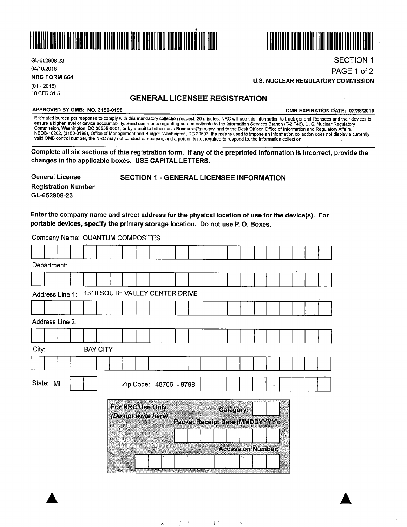



GL-652908-23 04/10/2018

**NRC FORM 664** 

(01 - 2018) 10 CFR 31.5

PAGE 1 of 2 **U.S. NUCLEAR REGULATORY COMMISSION** 

### **GENERAL LICENSEE REGISTRATION**

#### **APPROVED BY 0MB: NO. 3150-0198 0MB EXPIRATION DATE: 02/28/2019**

SECTION 1

Estimated burden per response to comply with this mandatory collection request: 20 minutes. NRC will use this information to track general licensees and their devices to ensure a nigher level of device accountability. Send comments regarding burden estimate to the Information Services Branch (T-2 F43), U. S. Nuclear Regulatory<br>Commission, Washington, DC 20555-0001, or by e-mail to Infocoll valid 0MB control number, the NRC may not conduct or sponsor, and a person is not required to respond to, the information collection.

**Complete all six sections of this registration form. If any of the preprinted information is incorrect, provide the changes in the applicable boxes. USE CAPITAL LETTERS.** 

**General License Registration Number GL-652908-23** 

SECTION 1 - GENERAL LICENSEE INFORMATION

#### Enter the company name and street address for the physical location of use for the device(s). For portable devices, specify the primary storage location. Do not use P. 0. Boxes.

Company Name: QUANTUM COMPOSITES

| Department: |                 |  |                                |                                         |  |  |  |           |  |                                        |    |  |  |
|-------------|-----------------|--|--------------------------------|-----------------------------------------|--|--|--|-----------|--|----------------------------------------|----|--|--|
|             |                 |  |                                |                                         |  |  |  |           |  |                                        |    |  |  |
|             | Address Line 1: |  | 1310 SOUTH VALLEY CENTER DRIVE |                                         |  |  |  |           |  |                                        |    |  |  |
|             |                 |  |                                |                                         |  |  |  |           |  |                                        |    |  |  |
|             | Address Line 2: |  |                                |                                         |  |  |  |           |  |                                        |    |  |  |
|             |                 |  |                                |                                         |  |  |  |           |  |                                        |    |  |  |
| City:       |                 |  | <b>BAY CITY</b>                |                                         |  |  |  |           |  |                                        |    |  |  |
|             |                 |  |                                |                                         |  |  |  |           |  |                                        |    |  |  |
| State: MI   |                 |  |                                | Zip Code: 48706 - 9798                  |  |  |  |           |  |                                        |    |  |  |
|             |                 |  |                                | For NRC Use Only<br>(Do not write here) |  |  |  | Category: |  | <b>Packet Receipt Date (MMDDYYYY):</b> | 43 |  |  |
|             |                 |  |                                |                                         |  |  |  |           |  |                                        |    |  |  |
|             |                 |  |                                |                                         |  |  |  |           |  | <b>Accession Number:</b>               |    |  |  |
|             |                 |  |                                |                                         |  |  |  |           |  |                                        |    |  |  |
|             |                 |  |                                |                                         |  |  |  |           |  | <u>na matang</u>                       |    |  |  |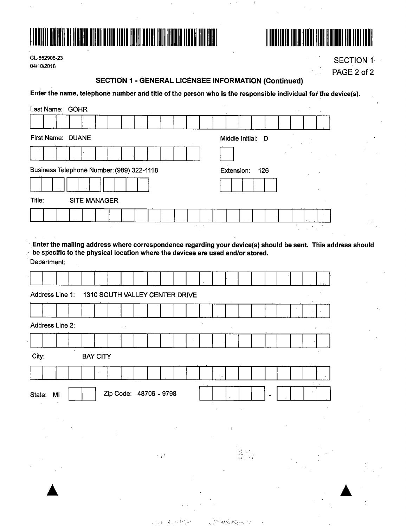



GL-652908-23 04/10/2018

**SECTION 1** PAGE 2 of 2

 $\bar{z}$ 

### **SECTION 1 - GENERAL LICENSEE INFORMATION (Continued)**

 $\cdot$ 

Enter the name, telephone number and title of the person who is the responsible individual for the device(s).

|                  | Last Name: GOHR                                                                               |           |                                |  |                        |            |  |             |              |                   |                   |  |  |  |                                                                                                             |  |
|------------------|-----------------------------------------------------------------------------------------------|-----------|--------------------------------|--|------------------------|------------|--|-------------|--------------|-------------------|-------------------|--|--|--|-------------------------------------------------------------------------------------------------------------|--|
|                  |                                                                                               |           |                                |  |                        |            |  |             |              |                   |                   |  |  |  |                                                                                                             |  |
|                  | First Name: DUANE                                                                             |           |                                |  |                        |            |  |             |              |                   | Middle Initial: D |  |  |  |                                                                                                             |  |
|                  |                                                                                               |           |                                |  |                        |            |  |             |              |                   |                   |  |  |  |                                                                                                             |  |
|                  | Business Telephone Number: (989) 322-1118                                                     |           |                                |  |                        |            |  |             |              | <b>Extension:</b> | 126               |  |  |  |                                                                                                             |  |
|                  |                                                                                               |           |                                |  |                        |            |  |             |              |                   |                   |  |  |  |                                                                                                             |  |
| Title:           |                                                                                               |           | <b>SITE MANAGER</b>            |  |                        |            |  |             |              |                   |                   |  |  |  |                                                                                                             |  |
|                  |                                                                                               |           |                                |  |                        |            |  |             |              |                   |                   |  |  |  |                                                                                                             |  |
|                  |                                                                                               |           |                                |  |                        |            |  | $\sim 10$ . |              |                   |                   |  |  |  |                                                                                                             |  |
|                  |                                                                                               |           |                                |  |                        |            |  |             |              |                   |                   |  |  |  | Enter the mailing address where correspondence regarding your device(s) should be sent. This address should |  |
|                  | be specific to the physical location where the devices are used and/or stored.<br>Department: |           |                                |  |                        |            |  |             |              |                   |                   |  |  |  |                                                                                                             |  |
|                  |                                                                                               |           |                                |  |                        |            |  |             |              |                   |                   |  |  |  |                                                                                                             |  |
|                  |                                                                                               |           |                                |  |                        |            |  |             |              |                   |                   |  |  |  |                                                                                                             |  |
|                  | Address Line 1:                                                                               |           | 1310 SOUTH VALLEY CENTER DRIVE |  |                        |            |  |             |              |                   |                   |  |  |  |                                                                                                             |  |
|                  |                                                                                               |           |                                |  |                        |            |  |             |              |                   |                   |  |  |  |                                                                                                             |  |
|                  | Address Line 2:                                                                               |           |                                |  |                        |            |  |             |              |                   |                   |  |  |  |                                                                                                             |  |
|                  |                                                                                               | $\bullet$ |                                |  |                        |            |  |             |              |                   |                   |  |  |  |                                                                                                             |  |
| City:            |                                                                                               |           | <b>BAY CITY</b>                |  |                        |            |  |             |              |                   |                   |  |  |  |                                                                                                             |  |
|                  |                                                                                               |           |                                |  |                        |            |  |             |              |                   |                   |  |  |  |                                                                                                             |  |
|                  |                                                                                               |           |                                |  | Zip Code: 48706 - 9798 |            |  |             |              |                   |                   |  |  |  |                                                                                                             |  |
| State:<br>$\sim$ | MI                                                                                            |           |                                |  |                        |            |  |             |              |                   |                   |  |  |  |                                                                                                             |  |
|                  |                                                                                               |           |                                |  |                        |            |  |             |              |                   |                   |  |  |  |                                                                                                             |  |
|                  |                                                                                               |           |                                |  |                        |            |  |             | $\mathbf{q}$ |                   |                   |  |  |  |                                                                                                             |  |
|                  |                                                                                               |           |                                |  |                        |            |  |             |              |                   |                   |  |  |  |                                                                                                             |  |
|                  |                                                                                               |           |                                |  |                        | $\sim 1.5$ |  |             |              |                   |                   |  |  |  |                                                                                                             |  |
|                  |                                                                                               |           |                                |  |                        |            |  |             |              |                   |                   |  |  |  |                                                                                                             |  |
|                  |                                                                                               |           |                                |  |                        |            |  |             |              |                   |                   |  |  |  |                                                                                                             |  |
|                  |                                                                                               |           |                                |  |                        |            |  |             |              |                   |                   |  |  |  |                                                                                                             |  |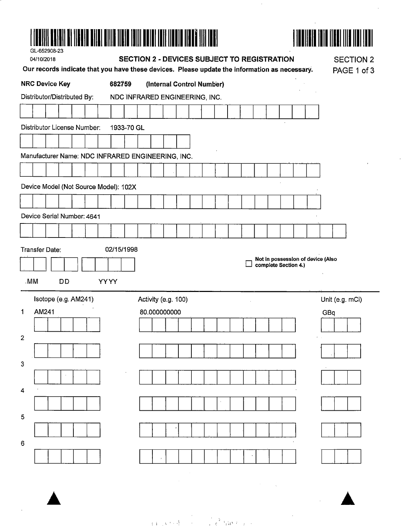| NAN AN NASA YANG BILANG KALIFARA DA SA SA TA TA TA MATSA NASA YANG KANA MASA A SA SA SA SA SA SA SA SA SA SA S<br>GL-652908-23<br>04/10/2018<br>Our records indicate that you have these devices. Please update the information as necessary. | <b>SECTION 2 - DEVICES SUBJECT TO REGISTRATION</b> | <b>SECTION 2</b><br>PAGE 1 of 3                           |
|-----------------------------------------------------------------------------------------------------------------------------------------------------------------------------------------------------------------------------------------------|----------------------------------------------------|-----------------------------------------------------------|
| <b>NRC Device Key</b><br>682759                                                                                                                                                                                                               | (Internal Control Number)                          |                                                           |
| Distributor/Distributed By:<br>NDC INFRARED ENGINEERING, INC.                                                                                                                                                                                 |                                                    |                                                           |
|                                                                                                                                                                                                                                               |                                                    |                                                           |
| Distributor License Number:<br>1933-70 GL                                                                                                                                                                                                     |                                                    |                                                           |
|                                                                                                                                                                                                                                               |                                                    |                                                           |
| Manufacturer Name: NDC INFRARED ENGINEERING, INC.                                                                                                                                                                                             |                                                    |                                                           |
|                                                                                                                                                                                                                                               |                                                    |                                                           |
| Device Model (Not Source Model): 102X                                                                                                                                                                                                         |                                                    |                                                           |
|                                                                                                                                                                                                                                               |                                                    |                                                           |
| Device Serial Number: 4641                                                                                                                                                                                                                    |                                                    |                                                           |
|                                                                                                                                                                                                                                               |                                                    |                                                           |
| Transfer Date:<br>02/15/1998                                                                                                                                                                                                                  |                                                    |                                                           |
|                                                                                                                                                                                                                                               |                                                    | Not in possession of device (Also<br>complete Section 4.) |
| .MM                                                                                                                                                                                                                                           |                                                    |                                                           |
| <b>DD</b><br><b>YYYY</b>                                                                                                                                                                                                                      |                                                    |                                                           |
| Isotope (e.g. AM241)<br>Activity (e.g. 100)                                                                                                                                                                                                   |                                                    | Unit (e.g. mCi)                                           |
| AM241<br>80.000000000<br>1                                                                                                                                                                                                                    |                                                    | GBa                                                       |
| $\overline{2}$                                                                                                                                                                                                                                |                                                    |                                                           |
|                                                                                                                                                                                                                                               |                                                    |                                                           |
| 3                                                                                                                                                                                                                                             |                                                    |                                                           |
|                                                                                                                                                                                                                                               |                                                    |                                                           |
| 4                                                                                                                                                                                                                                             |                                                    |                                                           |
|                                                                                                                                                                                                                                               |                                                    |                                                           |
| 5                                                                                                                                                                                                                                             |                                                    |                                                           |
|                                                                                                                                                                                                                                               |                                                    |                                                           |
|                                                                                                                                                                                                                                               |                                                    |                                                           |
| 6                                                                                                                                                                                                                                             |                                                    |                                                           |
|                                                                                                                                                                                                                                               |                                                    |                                                           |

 $\label{eq:2.1} \frac{1}{\sqrt{2}}\sum_{i=1}^n\frac{1}{\sqrt{2}}\sum_{i=1}^n\frac{1}{\sqrt{2}}\sum_{i=1}^n\frac{1}{\sqrt{2}}\sum_{i=1}^n\frac{1}{\sqrt{2}}\sum_{i=1}^n\frac{1}{\sqrt{2}}\sum_{i=1}^n\frac{1}{\sqrt{2}}\sum_{i=1}^n\frac{1}{\sqrt{2}}\sum_{i=1}^n\frac{1}{\sqrt{2}}\sum_{i=1}^n\frac{1}{\sqrt{2}}\sum_{i=1}^n\frac{1}{\sqrt{2}}\sum_{i=1}^n\frac$ 

 $\frac{1}{2}$ 

 $\frac{1}{\sqrt{2}}\sum_{i=1}^{n} \frac{1}{\sqrt{2}}\left(\frac{1}{\sqrt{2}}\right)^2\left(\frac{1}{\sqrt{2}}\right)^2$ 

 $\label{eq:3.1} \frac{1}{(3,4,1,8,7,8)} \int_{0}^{1} \frac{1}{(1-x^2)^2} \int_{0}^{1} \frac{1}{(1-x^2)^2} \int_{0}^{1} \frac{1}{(1-x^2)^2} \int_{0}^{1} \frac{1}{(1-x^2)^2} \int_{0}^{1} \frac{1}{(1-x^2)^2} \int_{0}^{1} \frac{1}{(1-x^2)^2} \int_{0}^{1} \frac{1}{(1-x^2)^2} \int_{0}^{1} \frac{1}{(1-x^2)^2} \int_{0}^{1} \frac{1}{(1-x^2)^2} \int_{0$ 

 $\mathcal{L}^{\pm}$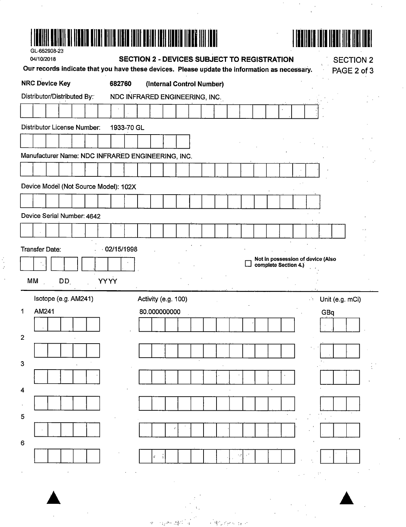| GL-652908-23                                                                                  |                                |                                                    |  |                           |  |  |                      |                             |                                   |                  |  |
|-----------------------------------------------------------------------------------------------|--------------------------------|----------------------------------------------------|--|---------------------------|--|--|----------------------|-----------------------------|-----------------------------------|------------------|--|
| 04/10/2018                                                                                    |                                | <b>SECTION 2 - DEVICES SUBJECT TO REGISTRATION</b> |  |                           |  |  |                      |                             |                                   | <b>SECTION 2</b> |  |
| Our records indicate that you have these devices. Please update the information as necessary. |                                |                                                    |  |                           |  |  |                      |                             |                                   | PAGE 2 of 3      |  |
| <b>NRC Device Key</b>                                                                         | 682760                         |                                                    |  | (Internal Control Number) |  |  |                      |                             |                                   |                  |  |
| Distributor/Distributed By:                                                                   | NDC INFRARED ENGINEERING, INC. |                                                    |  |                           |  |  |                      |                             |                                   |                  |  |
|                                                                                               |                                |                                                    |  |                           |  |  |                      |                             |                                   |                  |  |
| Distributor License Number:                                                                   | 1933-70 GL                     |                                                    |  |                           |  |  |                      |                             |                                   |                  |  |
|                                                                                               |                                |                                                    |  |                           |  |  |                      |                             |                                   |                  |  |
| Manufacturer Name: NDC INFRARED ENGINEERING, INC.                                             |                                |                                                    |  |                           |  |  |                      |                             |                                   |                  |  |
|                                                                                               |                                |                                                    |  |                           |  |  |                      |                             |                                   |                  |  |
| Device Model (Not Source Model): 102X                                                         |                                |                                                    |  |                           |  |  |                      |                             |                                   |                  |  |
|                                                                                               |                                |                                                    |  |                           |  |  |                      |                             |                                   |                  |  |
| Device Serial Number: 4642                                                                    |                                |                                                    |  |                           |  |  |                      |                             |                                   |                  |  |
|                                                                                               |                                |                                                    |  |                           |  |  |                      |                             |                                   |                  |  |
|                                                                                               |                                |                                                    |  |                           |  |  |                      |                             |                                   |                  |  |
| <b>Transfer Date:</b>                                                                         | 02/15/1998                     |                                                    |  |                           |  |  |                      |                             |                                   |                  |  |
|                                                                                               |                                |                                                    |  |                           |  |  | complete Section 4.) |                             | Not in possession of device (Also |                  |  |
| МM<br>DD.                                                                                     | <b>YYYY</b>                    |                                                    |  |                           |  |  |                      |                             |                                   |                  |  |
| Isotope (e.g. AM241)                                                                          |                                | Activity (e.g. 100)                                |  |                           |  |  |                      | $\mathcal{C}_{\mathcal{A}}$ | Unit (e.g. mCi)                   |                  |  |
| AM241<br>1                                                                                    |                                | 80.000000000                                       |  |                           |  |  |                      |                             | GBq                               |                  |  |
|                                                                                               |                                |                                                    |  |                           |  |  |                      |                             |                                   |                  |  |
| $\mathbf{2}$                                                                                  |                                |                                                    |  |                           |  |  |                      |                             |                                   |                  |  |
|                                                                                               |                                |                                                    |  |                           |  |  |                      |                             |                                   |                  |  |
| 3                                                                                             |                                |                                                    |  |                           |  |  |                      |                             |                                   |                  |  |
|                                                                                               |                                |                                                    |  |                           |  |  |                      |                             |                                   |                  |  |
| 4                                                                                             |                                |                                                    |  |                           |  |  |                      |                             |                                   |                  |  |
|                                                                                               |                                |                                                    |  |                           |  |  |                      |                             |                                   |                  |  |
| 5                                                                                             |                                |                                                    |  |                           |  |  |                      |                             |                                   |                  |  |
|                                                                                               |                                |                                                    |  |                           |  |  |                      |                             |                                   |                  |  |
| 6                                                                                             |                                |                                                    |  |                           |  |  |                      |                             |                                   |                  |  |
|                                                                                               |                                |                                                    |  |                           |  |  |                      |                             |                                   |                  |  |
|                                                                                               |                                |                                                    |  |                           |  |  |                      |                             |                                   |                  |  |
|                                                                                               |                                |                                                    |  |                           |  |  |                      |                             |                                   |                  |  |
|                                                                                               |                                |                                                    |  |                           |  |  |                      |                             |                                   |                  |  |

 $\label{eq:2.1} \frac{1}{\sqrt{2}}\int_{0}^{\infty}\frac{dx}{\sqrt{2\pi}}\,dx\leq \frac{1}{2}\int_{0}^{\infty}\frac{dx}{\sqrt{2\pi}}\,dx$ 

 $\hat{\mathcal{A}}$ 



 $\label{eq:2.1} \begin{split} \mathcal{L}_{\text{max}}(\mathcal{L}_{\text{max}}) = \mathcal{L}_{\text{max}}(\mathcal{L}_{\text{max}}) \,,\\ \mathcal{L}_{\text{max}}(\mathcal{L}_{\text{max}}) = \mathcal{L}_{\text{max}}(\mathcal{L}_{\text{max}}) \,, \end{split}$ 

 $\mathcal{L}^{\text{max}}_{\text{max}}$  and  $\mathcal{L}^{\text{max}}_{\text{max}}$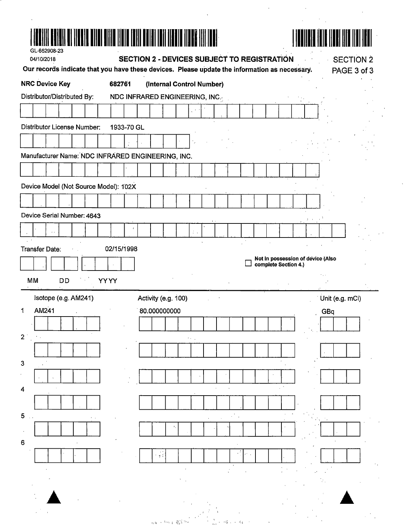| GL-652908-23                                                                                                | <u>HALL I HALL I HALL I HALL I HALL I HALL I HALL I HALL I HALL I HALL I HALL I HALL I HALL I HALL I HALL I HALL </u> |                                                    |                                     |  |  |  |                                                           |  |     |                                 |  |
|-------------------------------------------------------------------------------------------------------------|-----------------------------------------------------------------------------------------------------------------------|----------------------------------------------------|-------------------------------------|--|--|--|-----------------------------------------------------------|--|-----|---------------------------------|--|
| 04/10/2018<br>Our records indicate that you have these devices. Please update the information as necessary. |                                                                                                                       | <b>SECTION 2 - DEVICES SUBJECT TO REGISTRATION</b> |                                     |  |  |  |                                                           |  |     | <b>SECTION 2</b><br>PAGE 3 of 3 |  |
| <b>NRC Device Key</b>                                                                                       | 682761                                                                                                                |                                                    | (Internal Control Number)           |  |  |  |                                                           |  |     |                                 |  |
| Distributor/Distributed By:                                                                                 |                                                                                                                       | NDC INFRARED ENGINEERING, INC.                     |                                     |  |  |  |                                                           |  |     |                                 |  |
|                                                                                                             |                                                                                                                       |                                                    |                                     |  |  |  |                                                           |  |     |                                 |  |
| <b>Distributor License Number:</b>                                                                          | 1933-70 GL                                                                                                            |                                                    |                                     |  |  |  |                                                           |  |     |                                 |  |
|                                                                                                             |                                                                                                                       |                                                    |                                     |  |  |  |                                                           |  |     |                                 |  |
| Manufacturer Name: NDC INFRARED ENGINEERING, INC.                                                           |                                                                                                                       |                                                    |                                     |  |  |  |                                                           |  |     |                                 |  |
|                                                                                                             |                                                                                                                       |                                                    |                                     |  |  |  |                                                           |  |     |                                 |  |
| Device Model (Not Source Model): 102X                                                                       |                                                                                                                       |                                                    |                                     |  |  |  |                                                           |  |     |                                 |  |
|                                                                                                             |                                                                                                                       |                                                    |                                     |  |  |  |                                                           |  |     |                                 |  |
| Device Serial Number: 4643                                                                                  |                                                                                                                       |                                                    |                                     |  |  |  |                                                           |  |     |                                 |  |
|                                                                                                             |                                                                                                                       |                                                    |                                     |  |  |  |                                                           |  |     |                                 |  |
| <b>Transfer Date:</b>                                                                                       | 02/15/1998                                                                                                            |                                                    |                                     |  |  |  |                                                           |  |     |                                 |  |
|                                                                                                             |                                                                                                                       |                                                    |                                     |  |  |  |                                                           |  |     |                                 |  |
|                                                                                                             |                                                                                                                       |                                                    |                                     |  |  |  | Not in possession of device (Also<br>complete Section 4.) |  |     |                                 |  |
| MM<br><b>DD</b>                                                                                             | <b>YYYY</b>                                                                                                           |                                                    |                                     |  |  |  |                                                           |  |     |                                 |  |
| Isotope (e.g. AM241)                                                                                        |                                                                                                                       |                                                    |                                     |  |  |  |                                                           |  |     |                                 |  |
| AM241                                                                                                       |                                                                                                                       |                                                    | Activity (e.g. 100)<br>80.000000000 |  |  |  |                                                           |  | GBq | Unit (e.g. mCi)                 |  |
|                                                                                                             |                                                                                                                       |                                                    |                                     |  |  |  |                                                           |  |     |                                 |  |
|                                                                                                             |                                                                                                                       |                                                    |                                     |  |  |  |                                                           |  |     |                                 |  |
|                                                                                                             |                                                                                                                       |                                                    |                                     |  |  |  |                                                           |  |     |                                 |  |
|                                                                                                             |                                                                                                                       |                                                    |                                     |  |  |  |                                                           |  |     |                                 |  |
|                                                                                                             |                                                                                                                       |                                                    |                                     |  |  |  |                                                           |  |     |                                 |  |
|                                                                                                             |                                                                                                                       |                                                    |                                     |  |  |  |                                                           |  |     |                                 |  |
| 1<br>2 <sub>1</sub><br>$\mathbf 3$<br>4<br>5 <sub>5</sub>                                                   |                                                                                                                       |                                                    |                                     |  |  |  |                                                           |  |     |                                 |  |
|                                                                                                             |                                                                                                                       |                                                    |                                     |  |  |  |                                                           |  |     |                                 |  |
|                                                                                                             |                                                                                                                       |                                                    |                                     |  |  |  |                                                           |  |     |                                 |  |
|                                                                                                             |                                                                                                                       |                                                    | $\mathbf{y}$ :                      |  |  |  |                                                           |  |     |                                 |  |
|                                                                                                             |                                                                                                                       |                                                    |                                     |  |  |  |                                                           |  |     |                                 |  |
| 6                                                                                                           |                                                                                                                       |                                                    |                                     |  |  |  |                                                           |  |     |                                 |  |
|                                                                                                             |                                                                                                                       |                                                    |                                     |  |  |  |                                                           |  |     |                                 |  |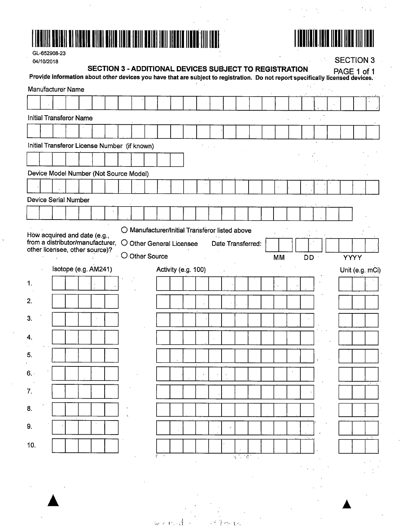



 $\mathcal{L}$ 

 $\frac{1}{2}$ 

 $\mathcal{C}_{\mathcal{A}}$  ,  $\mathcal{C}_{\mathcal{A}}$ 

GL-652908-23 **02/10/2018** 

|     | 04/10/2018                                                                                                                      |                      |                                                        |  |  |                                                |  |  |             |                   |           |    |  | <b>SECTION 3</b> |                 |
|-----|---------------------------------------------------------------------------------------------------------------------------------|----------------------|--------------------------------------------------------|--|--|------------------------------------------------|--|--|-------------|-------------------|-----------|----|--|------------------|-----------------|
|     | Provide information about other devices you have that are subject to registration. Do not report specifically licensed devices. |                      | SECTION 3 - ADDITIONAL DEVICES SUBJECT TO REGISTRATION |  |  |                                                |  |  |             |                   |           |    |  | PAGE 1 of 1      |                 |
|     | Manufacturer Name                                                                                                               |                      |                                                        |  |  |                                                |  |  |             |                   |           |    |  |                  |                 |
|     |                                                                                                                                 |                      |                                                        |  |  |                                                |  |  |             |                   |           |    |  |                  |                 |
|     | <b>Initial Transferor Name</b>                                                                                                  |                      |                                                        |  |  |                                                |  |  |             |                   |           |    |  |                  |                 |
|     |                                                                                                                                 |                      |                                                        |  |  |                                                |  |  |             |                   |           |    |  |                  |                 |
|     | Initial Transferor License Number (if known)                                                                                    |                      |                                                        |  |  |                                                |  |  |             |                   |           |    |  |                  |                 |
|     |                                                                                                                                 |                      |                                                        |  |  |                                                |  |  |             |                   |           |    |  |                  |                 |
|     | Device Model Number (Not Source Model)                                                                                          |                      |                                                        |  |  |                                                |  |  |             |                   |           |    |  |                  |                 |
|     |                                                                                                                                 |                      |                                                        |  |  |                                                |  |  |             |                   |           |    |  |                  |                 |
|     | <b>Device Serial Number</b>                                                                                                     |                      |                                                        |  |  |                                                |  |  |             |                   |           |    |  |                  |                 |
|     |                                                                                                                                 |                      |                                                        |  |  |                                                |  |  |             |                   |           |    |  |                  |                 |
|     |                                                                                                                                 |                      |                                                        |  |  | O Manufacturer/Initial Transferor listed above |  |  |             |                   |           |    |  |                  |                 |
|     | How acquired and date (e.g.,<br>from a distributor/manufacturer,                                                                |                      |                                                        |  |  | O Other General Licensee                       |  |  |             | Date Transferred: |           |    |  |                  |                 |
|     | other licensee, other source)?                                                                                                  |                      |                                                        |  |  | O Other Source                                 |  |  |             |                   | <b>MM</b> | ĎD |  | <b>YYYY</b>      |                 |
|     |                                                                                                                                 | Isotope (e.g. AM241) |                                                        |  |  | Activity (e.g. 100)                            |  |  |             |                   |           |    |  |                  | Unit (e.g. mCi) |
|     |                                                                                                                                 |                      |                                                        |  |  |                                                |  |  |             |                   |           |    |  |                  |                 |
| 1.  |                                                                                                                                 |                      |                                                        |  |  |                                                |  |  |             |                   |           |    |  |                  |                 |
| 2.  |                                                                                                                                 |                      |                                                        |  |  |                                                |  |  |             |                   |           |    |  |                  |                 |
|     |                                                                                                                                 |                      |                                                        |  |  |                                                |  |  |             |                   |           |    |  |                  |                 |
| 3.  |                                                                                                                                 |                      |                                                        |  |  |                                                |  |  |             |                   |           |    |  |                  |                 |
| 4.  |                                                                                                                                 |                      |                                                        |  |  |                                                |  |  |             |                   |           |    |  |                  |                 |
| э.  |                                                                                                                                 |                      |                                                        |  |  |                                                |  |  |             |                   |           |    |  |                  |                 |
|     |                                                                                                                                 |                      |                                                        |  |  |                                                |  |  |             |                   |           |    |  |                  |                 |
| 6.  |                                                                                                                                 |                      |                                                        |  |  |                                                |  |  |             |                   |           |    |  |                  |                 |
| 7.  |                                                                                                                                 |                      |                                                        |  |  |                                                |  |  |             |                   |           |    |  |                  |                 |
| 8.  |                                                                                                                                 |                      |                                                        |  |  |                                                |  |  |             |                   |           |    |  |                  |                 |
| 9.  |                                                                                                                                 |                      |                                                        |  |  |                                                |  |  |             |                   |           |    |  |                  |                 |
|     |                                                                                                                                 |                      |                                                        |  |  |                                                |  |  |             |                   |           |    |  |                  |                 |
| 10. |                                                                                                                                 |                      |                                                        |  |  |                                                |  |  |             |                   |           |    |  |                  |                 |
|     |                                                                                                                                 |                      |                                                        |  |  |                                                |  |  | $\sim 10^7$ |                   |           |    |  |                  |                 |
|     |                                                                                                                                 |                      |                                                        |  |  |                                                |  |  |             |                   |           |    |  |                  |                 |

 $\lambda_{\rm eff}$  ,  $\sigma$  ,  $\frac{1}{2}$ 

 $x^2$  ) should be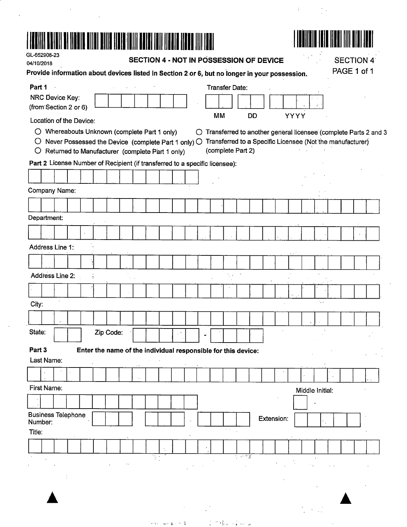# 



 $V_{\rm eff} = 1.5$ 

| GL-652908-23<br>04/10/2018 |             |                                                                             |  |                                                               |                      |     |  |   | SECTION 4 - NOT IN POSSESSION OF DEVICE |                           |       |           |            |                                                                                               |                 |     | <b>SECTION 4</b> |                                                                 |
|----------------------------|-------------|-----------------------------------------------------------------------------|--|---------------------------------------------------------------|----------------------|-----|--|---|-----------------------------------------|---------------------------|-------|-----------|------------|-----------------------------------------------------------------------------------------------|-----------------|-----|------------------|-----------------------------------------------------------------|
|                            |             |                                                                             |  |                                                               |                      |     |  |   |                                         |                           |       |           |            | Provide information about devices listed in Section 2 or 6, but no longer in your possession. |                 |     | PAGE 1 of 1      |                                                                 |
| Part 1                     |             |                                                                             |  |                                                               |                      |     |  |   | <b>Transfer Date:</b>                   |                           |       |           |            |                                                                                               |                 |     |                  |                                                                 |
|                            |             | NRC Device Key:                                                             |  |                                                               |                      |     |  |   |                                         |                           |       |           |            |                                                                                               |                 |     |                  |                                                                 |
|                            |             | (from Section 2 or 6)                                                       |  |                                                               |                      |     |  |   |                                         |                           |       |           |            |                                                                                               |                 |     |                  |                                                                 |
|                            |             | Location of the Device:                                                     |  |                                                               |                      |     |  |   | MM                                      |                           |       | <b>DD</b> |            | YYYY                                                                                          |                 |     |                  |                                                                 |
|                            |             | ○ Whereabouts Unknown (complete Part 1 only)                                |  |                                                               |                      |     |  | O |                                         |                           |       |           |            |                                                                                               |                 |     |                  | Transferred to another general licensee (complete Parts 2 and 3 |
| $\circ$                    |             | Never Possessed the Device (complete Part 1 only) O                         |  |                                                               |                      |     |  |   |                                         |                           |       |           |            | Transferred to a Specific Licensee (Not the manufacturer)                                     |                 |     |                  |                                                                 |
| O                          |             | Returned to Manufacturer (complete Part 1 only)                             |  |                                                               |                      |     |  |   | (complete Part 2)                       |                           |       |           |            |                                                                                               |                 |     |                  |                                                                 |
|                            |             | Part 2 License Number of Recipient (if transferred to a specific licensee): |  |                                                               |                      |     |  |   |                                         |                           |       |           |            |                                                                                               |                 |     |                  |                                                                 |
|                            |             |                                                                             |  |                                                               |                      |     |  |   |                                         |                           |       |           |            |                                                                                               |                 |     |                  |                                                                 |
|                            |             | <b>Company Name:</b>                                                        |  |                                                               |                      |     |  |   |                                         |                           |       |           |            |                                                                                               |                 |     |                  |                                                                 |
|                            |             |                                                                             |  |                                                               |                      |     |  |   |                                         |                           |       |           |            |                                                                                               |                 |     |                  |                                                                 |
|                            | Department: |                                                                             |  |                                                               |                      |     |  |   |                                         |                           |       |           |            |                                                                                               |                 |     |                  |                                                                 |
|                            |             |                                                                             |  |                                                               |                      |     |  |   |                                         |                           |       |           |            |                                                                                               |                 |     |                  |                                                                 |
|                            |             |                                                                             |  |                                                               |                      |     |  |   |                                         |                           |       |           |            |                                                                                               |                 |     |                  |                                                                 |
|                            |             | Address Line 1:                                                             |  |                                                               |                      |     |  |   |                                         |                           |       |           |            |                                                                                               |                 |     |                  |                                                                 |
|                            |             |                                                                             |  |                                                               |                      |     |  |   |                                         |                           |       |           |            |                                                                                               |                 |     |                  |                                                                 |
|                            |             | Address Line 2:                                                             |  |                                                               |                      |     |  |   |                                         |                           |       |           |            |                                                                                               |                 |     |                  |                                                                 |
|                            |             |                                                                             |  |                                                               |                      |     |  |   |                                         |                           |       |           |            |                                                                                               |                 |     |                  |                                                                 |
|                            |             |                                                                             |  |                                                               |                      |     |  |   |                                         |                           |       |           |            |                                                                                               |                 |     |                  |                                                                 |
| City:                      |             |                                                                             |  |                                                               |                      |     |  |   |                                         |                           |       |           |            |                                                                                               |                 | ٠., |                  |                                                                 |
|                            |             |                                                                             |  |                                                               |                      |     |  |   |                                         |                           |       |           |            |                                                                                               |                 |     |                  |                                                                 |
| State:                     |             |                                                                             |  | Zip Code:                                                     |                      |     |  |   |                                         |                           |       |           |            |                                                                                               |                 |     |                  |                                                                 |
|                            |             |                                                                             |  |                                                               |                      |     |  |   |                                         |                           |       |           |            |                                                                                               |                 |     |                  |                                                                 |
| Part 3                     |             |                                                                             |  | Enter the name of the individual responsible for this device: |                      |     |  |   |                                         |                           |       |           |            |                                                                                               |                 |     |                  |                                                                 |
|                            | Last Name:  |                                                                             |  |                                                               |                      |     |  |   |                                         |                           |       |           |            |                                                                                               |                 |     |                  |                                                                 |
|                            |             |                                                                             |  |                                                               |                      |     |  |   |                                         |                           |       |           |            |                                                                                               |                 |     |                  |                                                                 |
|                            | First Name: |                                                                             |  |                                                               |                      |     |  |   |                                         |                           |       |           |            |                                                                                               | Middle Initial: |     |                  |                                                                 |
|                            |             |                                                                             |  |                                                               |                      |     |  |   |                                         |                           |       |           |            |                                                                                               |                 |     |                  |                                                                 |
|                            |             | <b>Business Telephone</b>                                                   |  |                                                               |                      |     |  |   |                                         |                           |       |           | Extension: |                                                                                               |                 |     |                  |                                                                 |
|                            | Number:     |                                                                             |  |                                                               |                      |     |  |   |                                         | $\sigma \rightarrow \tau$ |       |           |            |                                                                                               |                 |     |                  |                                                                 |
| Title:                     |             |                                                                             |  |                                                               |                      |     |  |   |                                         |                           |       |           |            |                                                                                               |                 |     |                  |                                                                 |
|                            |             |                                                                             |  |                                                               |                      |     |  |   |                                         |                           |       |           |            |                                                                                               |                 |     |                  |                                                                 |
|                            |             |                                                                             |  |                                                               | $\ddot{\phantom{0}}$ | Й., |  |   |                                         |                           | र साह |           |            |                                                                                               |                 |     |                  |                                                                 |
|                            |             |                                                                             |  |                                                               |                      |     |  |   |                                         |                           |       |           |            |                                                                                               |                 |     |                  |                                                                 |
|                            |             |                                                                             |  |                                                               |                      |     |  |   |                                         |                           |       |           |            |                                                                                               |                 |     |                  |                                                                 |
|                            |             |                                                                             |  |                                                               |                      |     |  |   |                                         |                           |       |           |            |                                                                                               |                 |     |                  |                                                                 |
|                            |             |                                                                             |  |                                                               |                      |     |  |   |                                         |                           |       |           |            |                                                                                               |                 |     |                  |                                                                 |

 $\label{eq:3.1} \left\langle \left\langle \cos\left(\frac{\pi}{2}x\right) \right\rangle \right\rangle = \left\langle \left\langle \cos\left(\frac{\pi}{2}x\right) \right\rangle \right\rangle = \left\langle \left\langle \cos\left(\frac{\pi}{2}x\right) \right\rangle \right\rangle = \left\langle \left\langle \cos\left(\frac{\pi}{2}x\right) \right\rangle \right\rangle = \left\langle \left\langle \cos\left(\frac{\pi}{2}x\right) \right\rangle \right\rangle = \left\langle \cos\left(\frac{\pi}{2}x\right) \right\rangle$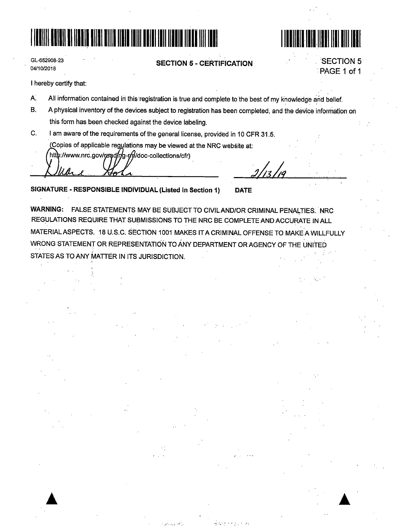## t i**n d**ie koning van die koning van die koning van die koning van die koning van die koning van die koning van d



| GL-652908-23 |  |
|--------------|--|
| 04/10/2018   |  |

**SECTION 5** - **CERTIFICATION** 

**SECTION 5** :PAGE 1 of 1

I hereby certify that:

- A. All information contained in this registration is true and complete to the best of my knowledge and belief.
- B. A physical inventory of the devices subject to registration has been completed, and the device information on this form has been checked against the device labeling.
- C. I am aware of the requirements of the general license, provided in 10 CFR 31.5.

Copies of applicable regulations may be viewed at the NRC website at:

http://www.nrc.gov/read/r/g-r/y/doc-collections/cfr)

/<br>12 .

**SIGNATURE** - **RESPONSIBLE INDIVIDUAL(Listed in Section 1) DATE** 

WARNING: FALSE STATEMENTS MAY BE SUBJECT TO CIVIL AND/OR CRIMINAL PENALTIES. NRC REGULATIONS REQUIRE THAT SUBMISSIONS TO THE NRC BE COMPLETE AND ACCURATE IN ALL MATERIALASPECTS. 18 U.S.C. SECTION 1001 MAKES IT A CRIMINAL OFFENSE TO MAKEA WILLFULLY WRONG STATEMENT OR REPRESENTATION TO ANY DEPARTMENT OR AGENCY OF THE UNITED STATES AS TO ANY MATTER IN ITS JURISDICTION.